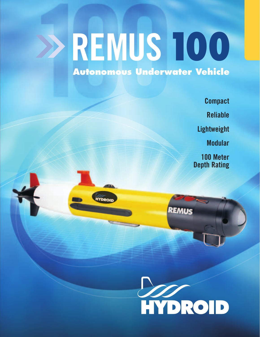# **REMUS100**

**Autonomous Underwater Vehicle**

**YDROIT** 

**Compact Reliable Lightweight Modular 100 Meter Depth Rating**

REMUS

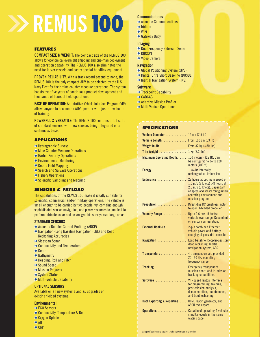### **REMUS100**

### **FEATURES**

**COMPACT SIZE & WEIGHT:** The compact size of the REMUS 100 allows for economical overnight shipping and one-man deployment and operation capability. The REMUS 100 also eliminates the need for larger vessels and costly special handling equipment.

**PROVEN RELIABILITY:** With a track record second to none, the REMUS 100 is the only compact AUV to be selected by the U.S. Navy Fleet for their mine counter measure operations. The system boasts over five years of continuous product development and thousands of hours of field operations.

**EASE OF OPERATION:** An intuitive Vehicle Interface Program (VIP) allows anyone to become an AUV operator with just a few hours of training.

**POWERFUL & VERSATILE:** The REMUS 100 contains a full suite of standard sensors, with new sensors being integrated on a continuous basis.

### **APPLICATIONS**

- **E** Hydrographic Surveys
- $\Omega$  Mine Counter Measure Operations
- **E** Harbor Security Operations
- **Environmental Monitoring**
- Debris Field Mapping
- Search and Salvage Operations
- **B** Fishery Operations
- Scientific Sampling and Mapping

### **SENSORS & PAYLOAD**

The capabilities of the REMUS 100 make it ideally suitable for scientific, commercial and/or military operations. The vehicle is small enough to be carried by two people, yet contains enough sophisticated sensor, navigation, and power resources to enable it to perform intricate sonar and oceanographic surveys over large areas.

### **STANDARD SENSORS**

- **a** Acoustic Doppler Current Profiling (ADCP)
- **E** Navigation-Long Baseline Navigation (LBL) and Dead Reckoning Accuracies
- Sidescan Sonar
- $\Omega$  Conductivity and Temperature
- **Depth**
- **Bathymetry**
- **E** Heading, Roll and Pitch
- Sound Speed
- **Mission Progress**
- System Status
- $\Omega$  Multi-Vehicle Capability

### **OPTIONAL SENSORS**

Available on all new systems and as upgrades on existing fielded systems.

### **Environmental**

**ECO** Sensors **D** Conductivity, Temperature & Depth **2** Oxygen Optode  $\blacksquare$ pH **D** ORP

### **Communications**

- **2** Acoustic Communications
- **a** Iridium **D** WiFi
- 
- **B** Gateway Buoy

### **Imaging**

- Dual Frequency Sidescan Sonar
- **DIDSON**
- **D** Video Camera

### **Navigation**

- **B** Global Positioning System (GPS)
- Digital Ultra Short Baseline (DUSBL)
- **D** Inertial Navigation System (INS)

### **Software**

- **2** Trackpoint Capability
- **D** CADCAC
- **Adaptive Mission Profiler**
- $\Omega$  Multi Vehicle Operations

### **SPECIFICATIONS**

| Vehicle Diameter 19 cm (7.5 in)                       |                                                                                                                                                                         |
|-------------------------------------------------------|-------------------------------------------------------------------------------------------------------------------------------------------------------------------------|
| Vehicle Length From 160 cm (63 in)                    |                                                                                                                                                                         |
|                                                       |                                                                                                                                                                         |
| Trim Weight 1 kg $(2.2 \text{ lbs})$                  |                                                                                                                                                                         |
| Maximum Operating Depth. 100 meters (328 ft). Can     | be configured to go to 120<br>meters (400 ft).                                                                                                                          |
|                                                       | rechargeable Lithium ion                                                                                                                                                |
| Endurance  22 hours at optimum speed of               | 1.5 m/s $(3 \text{ knots}) > 8 \text{ hours}$ at<br>2.6 m/s (5 knots). Dependant<br>on speed and sensor configuration,<br>operating environment and<br>mission program. |
| Propulsion Direct dive DC brushless motor             | to open 3-bladed propeller.                                                                                                                                             |
| Velocity Range Up to 2.6 m/s (5 knots)                | variable over range. Dependant<br>on sensor configuration.                                                                                                              |
| External Hook-up 2-pin combined Ethernet,             | vehicle power and battery<br>charging; 4-pin serial connector                                                                                                           |
|                                                       | Navigation  Long baseline; Doppler-assisted<br>dead reckoning; Inertial<br>navigation system; GPS                                                                       |
| Transponders 4 transponders are provided              | 20-30 kHz operating<br>frequency range.                                                                                                                                 |
|                                                       | mission abort, and in-mission<br>tracking capabilities.                                                                                                                 |
|                                                       | for programming, training,<br>post-mission analysis,<br>documentation, maintenance,<br>and troubleshooting.                                                             |
| Data Exporting & Reporting HTML report generator, and | <b>ASCII text export</b>                                                                                                                                                |
|                                                       | Operations  Capable of operating 4 vehicles<br>simultaneously in the same<br>water space.                                                                               |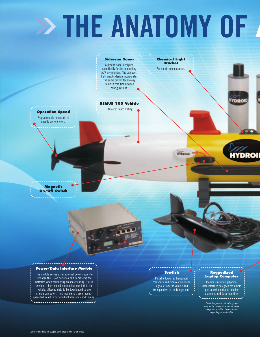## **THE ANATOMY OF A**



### **Power/Data Interface Module**

This module serves as an external power supply to recharge the Li-Ion batteries and to preserve the batteries when conducting on shore testing. It also provides a high-speed communications link to the vehicle, allowing data to be downloaded to one or more computers. This module has been recently upgraded to aid in battery discharge and conditioning.

### **Towfish**

Portable low-drag transducer transmits and receives wideband signals from the vehicle and transponders to the Ranger unit.

#### **Ruggedized Laptop Computer**

Includes intuitive graphical user interface designed for simple pre-launch checkout, mission planning, and data reporting.

The laptop provided with the system may not be the one shown in the above image and is subject to substitution depending on availability.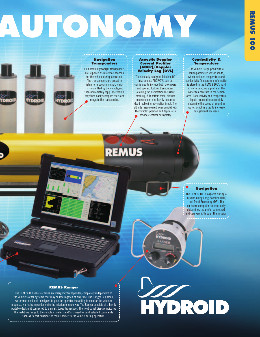## **AUTONOMY**

#### **Navigation Transponders**

Four small, lightweight transponders are supplied as reference beacons for the vehicle during operation. The transponders are preset to listen for a specific signal, which is transmitted by the vehicle,and then immediately reply. The vehicle may then easily compute the slant range to the transponder.

**REMUS** 

#### **Acoustic Doppler Current Profiler (ADCP)/Doppler Velocity Log (DVL)**

The specially designed Teledyne RD Instruments ADCP/DVL can be configured to include both downward and upward looking transducers, allowing for bi-directional current profiling, 3-D bottom track, altitude measurement and highly accurate dead reckoning navigation input. The altitude measurement, when coupled with the vehicle's position and depth, also provides seafloor bathymetry.

### **Conductivity & Temperature**

The vehicle is equipped with a multi-parameter sensor sonde, which includes temperature and conductivity. Temperature information is stored in the REMUS 100's hard drive for plotting a profile of the water temperature in the search area. Conductivity and temperature inputs are used to accurately determine the speed of sound in water, which is used to increase navigational accuracy.

**Navigation**

The REMUS 100 navigates during a mission using Long Baseline (LBL) and Dead Reckoning (DR). The on-board computer automatically determines the preferred method, and can vary it through the mission.

### **REMUS Ranger**

The REMUS 100 vehicle carries an emergency transponder; completely independent of the vehicle's other systems that may be interrogated at any time. The Ranger is a small, waterproof deck unit, designed to give the operator the ability to monitor the vehicles progress, via its transponder while the mission is underway. The Ranger consists of a highly portable deck unit connected to a small, towed transducer. The front panel display indicates the real-time range to the vehicle in meters and/or is used to send selected commands such as "abort mission" or "come home" to the vehicle during operation.

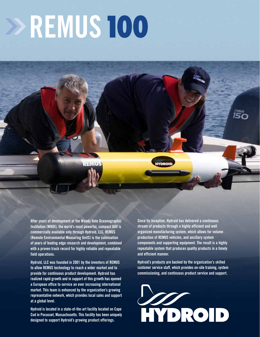## **REMUS100**

**After years of development at the Woods Hole Oceanographic Institution (WHOI), the world's most powerful, compact AUV is commercially available only through Hydroid, LLC. REMUS (Remote Environmental Measuring UnitS) is the culmination of years of leading edge research and development, combined with a proven track record for highly reliable and repeatable field operations.**

**Hydroid, LLC was founded in 2001 by the inventors of REMUS to allow REMUS technology to reach a wider market and to provide for continuous product development. Hydroid has realized rapid growth and in support of this growth has opened a European office to service an ever increasing international market. This team is enhanced by the organization's growing representative network, which provides local sales and support at a global level.**

**Hydroid is located in a state-of-the-art facility located on Cape Cod in Pocasset, Massachusetts. This facility has been uniquely designed to support Hydroid's growing product offerings.**

**Since its inception, Hydroid has delivered a continuous stream of products through a highly efficient and well organized manufacturing system, which allows for volume production of REMUS vehicles, and ancillary system components and supporting equipment. The result is a highly repeatable system that produces quality products in a timely and efficient manner.** 

**IYDROID** 

lsr

**Hydroid's products are backed by the organization's skilled customer service staff, which provides on-site training, system commissioning, and continuous product service and support.**